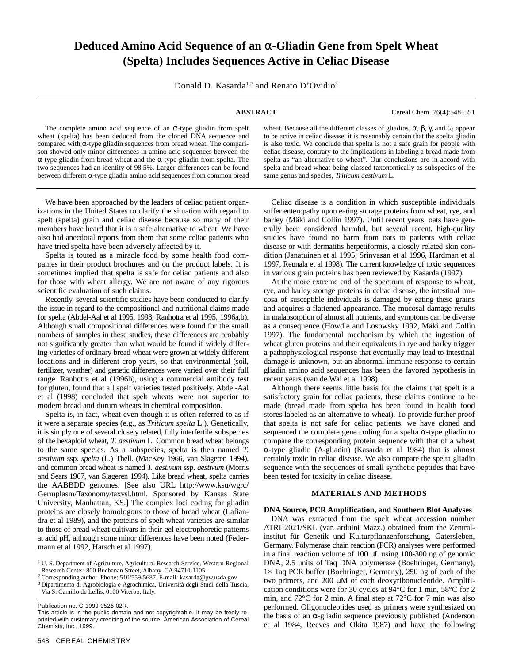# **Deduced Amino Acid Sequence of an** α**-Gliadin Gene from Spelt Wheat (Spelta) Includes Sequences Active in Celiac Disease**

Donald D. Kasarda<sup>1,2</sup> and Renato D'Ovidio<sup>3</sup>

**ABSTRACT** Cereal Chem. 76(4):548–551

The complete amino acid sequence of an  $\alpha$ -type gliadin from spelt wheat (spelta) has been deduced from the cloned DNA sequence and compared with α-type gliadin sequences from bread wheat. The comparison showed only minor differences in amino acid sequences between the α-type gliadin from bread wheat and the α-type gliadin from spelta. The two sequences had an identity of 98.5%. Larger differences can be found between different α-type gliadin amino acid sequences from common bread wheat. Because all the different classes of gliadins,  $\alpha$ ,  $\beta$ ,  $\gamma$ , and ω, appear to be active in celiac disease, it is reasonably certain that the spelta gliadin is also toxic. We conclude that spelta is not a safe grain for people with celiac disease, contrary to the implications in labeling a bread made from spelta as "an alternative to wheat". Our conclusions are in accord with spelta and bread wheat being classed taxonomically as subspecies of the same genus and species, *Triticum aestivum* L.

We have been approached by the leaders of celiac patient organizations in the United States to clarify the situation with regard to spelt (spelta) grain and celiac disease because so many of their members have heard that it is a safe alternative to wheat. We have also had anecdotal reports from them that some celiac patients who have tried spelta have been adversely affected by it.

Spelta is touted as a miracle food by some health food companies in their product brochures and on the product labels. It is sometimes implied that spelta is safe for celiac patients and also for those with wheat allergy. We are not aware of any rigorous scientific evaluation of such claims.

Recently, several scientific studies have been conducted to clarify the issue in regard to the compositional and nutritional claims made for spelta (Abdel-Aal et al 1995, 1998; Ranhotra et al 1995, 1996a,b). Although small compositional differences were found for the small numbers of samples in these studies, these differences are probably not significantly greater than what would be found if widely differing varieties of ordinary bread wheat were grown at widely different locations and in different crop years, so that environmental (soil, fertilizer, weather) and genetic differences were varied over their full range. Ranhotra et al (1996b), using a commercial antibody test for gluten, found that all spelt varieties tested positively. Abdel-Aal et al (1998) concluded that spelt wheats were not superior to modern bread and durum wheats in chemical composition.

Spelta is, in fact, wheat even though it is often referred to as if it were a separate species (e.g., as *Triticum spelta* L.). Genetically, it is simply one of several closely related, fully interfertile subspecies of the hexaploid wheat, *T. aestivum* L. Common bread wheat belongs to the same species. As a subspecies, spelta is then named *T. aestivum* ssp. *spelta* (L.) Thell. (MacKey 1966, van Slageren 1994), and common bread wheat is named *T. aestivum* ssp. *aestivum* (Morris and Sears 1967, van Slageren 1994). Like bread wheat, spelta carries the AABBDD genomes. [See also URL http://www.ksu/wgrc/ Germplasm/Taxonomy/taxvsl.html. Sponsored by Kansas State University, Manhattan, KS.] The complex loci coding for gliadin proteins are closely homologous to those of bread wheat (Lafiandra et al 1989), and the proteins of spelt wheat varieties are similar to those of bread wheat cultivars in their gel electrophoretic patterns at acid pH, although some minor differences have been noted (Federmann et al 1992, Harsch et al 1997).

Publication no. C-1999-0526-02R.

548 CEREAL CHEMISTRY

Celiac disease is a condition in which susceptible individuals suffer enteropathy upon eating storage proteins from wheat, rye, and barley (Mäki and Collin 1997). Until recent years, oats have generally been considered harmful, but several recent, high-quality studies have found no harm from oats to patients with celiac disease or with dermatitis herpetiformis, a closely related skin condition (Janatuinen et al 1995, Srinvasan et al 1996, Hardman et al 1997, Reunala et al 1998). The current knowledge of toxic sequences in various grain proteins has been reviewed by Kasarda (1997).

At the more extreme end of the spectrum of response to wheat, rye, and barley storage proteins in celiac disease, the intestinal mucosa of susceptible individuals is damaged by eating these grains and acquires a flattened appearance. The mucosal damage results in malabsorption of almost all nutrients, and symptoms can be diverse as a consequence (Howdle and Losowsky 1992, Mäki and Collin 1997). The fundamental mechanism by which the ingestion of wheat gluten proteins and their equivalents in rye and barley trigger a pathophysiological response that eventually may lead to intestinal damage is unknown, but an abnormal immune response to certain gliadin amino acid sequences has been the favored hypothesis in recent years (van de Wal et al 1998).

Although there seems little basis for the claims that spelt is a satisfactory grain for celiac patients, these claims continue to be made (bread made from spelta has been found in health food stores labeled as an alternative to wheat). To provide further proof that spelta is not safe for celiac patients, we have cloned and sequenced the complete gene coding for a spelta α-type gliadin to compare the corresponding protein sequence with that of a wheat α-type gliadin (A-gliadin) (Kasarda et al 1984) that is almost certainly toxic in celiac disease. We also compare the spelta gliadin sequence with the sequences of small synthetic peptides that have been tested for toxicity in celiac disease.

# **MATERIALS AND METHODS**

#### **DNA Source, PCR Amplification, and Southern Blot Analyses**

DNA was extracted from the spelt wheat accession number ATRI 2021/SKL (var. arduini Mazz.) obtained from the Zentralinstitut für Genetik und Kulturpflanzenforschung, Gatersleben, Germany. Polymerase chain reaction (PCR) analyses were performed in a final reaction volume of 100 µL using 100-300 ng of genomic DNA, 2.5 units of Taq DNA polymerase (Boehringer, Germany),  $1\times$  Taq PCR buffer (Boehringer, Germany), 250 ng of each of the two primers, and 200 µM of each deoxyribonucleotide. Amplification conditions were for 30 cycles at 94°C for 1 min, 58°C for 2 min, and 72°C for 2 min. A final step at 72°C for 7 min was also performed. Oligonucleotides used as primers were synthesized on the basis of an  $\alpha$ -gliadin sequence previously published (Anderson et al 1984, Reeves and Okita 1987) and have the following

<sup>&</sup>lt;sup>1</sup> U. S. Department of Agriculture, Agricultural Research Service, Western Regional Research Center, 800 Buchanan Street, Albany, CA 94710-1105.

<sup>2</sup> Corresponding author. Phone: 510/559-5687. E-mail: kasarda@pw.usda.gov

<sup>3</sup> Dipartimento di Agrobiologia e Agrochimica, Università degli Studi della Tuscia, Via S. Camillo de Lellis, 0100 Viterbo, Italy.

This article is in the public domain and not copyrightable. It may be freely reprinted with customary crediting of the source. American Association of Cereal Chemists, Inc., 1999.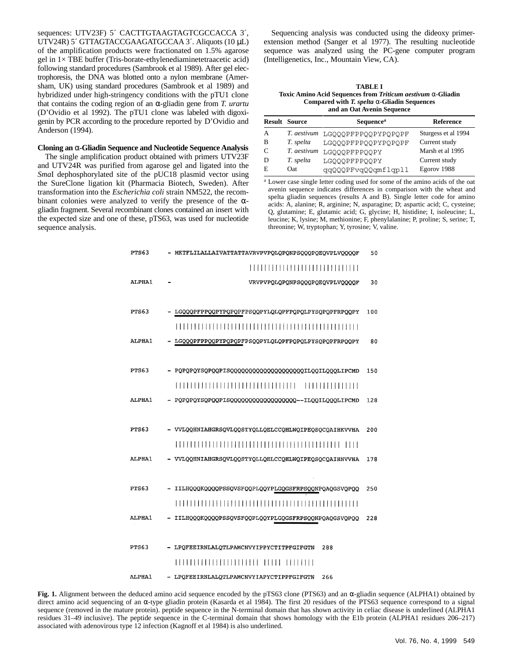sequences: UTV23F) 5' CACTTGTAAGTAGTCGCCACCA 3', UTV24R) 5' GTTAGTACCGAAGATGCCAA 3'. Aliquots (10 µL) of the amplification products were fractionated on 1.5% agarose gel in  $1 \times$  TBE buffer (Tris-borate-ethylenediaminetetraacetic acid) following standard procedures (Sambrook et al 1989). After gel electrophoresis, the DNA was blotted onto a nylon membrane (Amersham, UK) using standard procedures (Sambrook et al 1989) and hybridized under high-stringency conditions with the pTU1 clone that contains the coding region of an α-gliadin gene from *T. urartu* (D'Ovidio et al 1992). The pTU1 clone was labeled with digoxigenin by PCR according to the procedure reported by D'Ovidio and Anderson (1994).

# **Cloning an** α**-Gliadin Sequence and Nucleotide Sequence Analysis**

The single amplification product obtained with primers UTV23F and UTV24R was purified from agarose gel and ligated into the *Sma*I dephosphorylated site of the pUC18 plasmid vector using the SureClone ligation kit (Pharmacia Biotech, Sweden). After transformation into the *Escherichia coli* strain NM522, the recombinant colonies were analyzed to verify the presence of the  $\alpha$ gliadin fragment. Several recombinant clones contained an insert with the expected size and one of these, pTS63, was used for nucleotide sequence analysis.

Sequencing analysis was conducted using the dideoxy primerextension method (Sanger et al 1977). The resulting nucleotide sequence was analyzed using the PC-gene computer program (Intelligenetics, Inc., Mountain View, CA).

**TABLE I Toxic Amino Acid Sequences from** *Triticum aestivum* α**-Gliadin Compared with** *T. spelta* α**-Gliadin Sequences and an Oat Avenin Sequence**

|   | <b>Result Source</b> | <b>Sequence</b> <sup>a</sup> | <b>Reference</b>    |
|---|----------------------|------------------------------|---------------------|
| A | T. aestivum          | LGOOOPFPPOOPYPOPOPF          | Sturgess et al 1994 |
| B | T. spelta            | LGOOOPFPPOOPYPOPOPF          | Current study       |
| C | T. aestivum          | LGOOOPFPPOOPY                | Marsh et al 1995    |
| D | T. spelta            | LGOOOPFPPOOPY                | Current study       |
| E | Oat                  | qqQQQPFvqQQqmflqpll          | Egorov 1988         |

<sup>a</sup> Lower case single letter coding used for some of the amino acids of the oat avenin sequence indicates differences in comparison with the wheat and spelta gliadin sequences (results A and B). Single letter code for amino acids: A, alanine; R, arginine; N, asparagine; D; aspartic acid; C, cysteine; Q, glutamine; E, glutamic acid; G, glycine; H, histidine; I, isoleucine; L, leucine; K, lysine; M, methionine; F, phenylalanine; P, proline; S, serine; T, threonine; W, tryptophan; Y, tyrosine; V, valine.

| PTS63        | MKTFLILALLAIVATTATTAVRVPVPQLQPQNPSQQQPQEQVPLVQQQQF    |     |  |
|--------------|-------------------------------------------------------|-----|--|
|              |                                                       |     |  |
| ALPHA1       | VRVPVPQLQPQNPSQQQPQEQVPLVQQQQF                        | 30  |  |
|              |                                                       |     |  |
| PTS63        | LGQQQPFPPQQPYPQPQPFPSQQPYLQLQPFPQPQLPYSQPQPFRPQQPY    | 100 |  |
|              |                                                       |     |  |
| ALPHA1       | LGQQQPFPPQQPYPQPQPFPSQQPYLQLQPFPQPQLPYSQPQPFRPQQPY    | 80  |  |
|              |                                                       |     |  |
| PTS63        | - PQPQPQYSQPQQPISQQQQQQQQQQQQQQQQQQQQIILQQILQQQLIPCMD | 150 |  |
|              |                                                       |     |  |
| ALPHA1       | PQPQPQYSQPQQPISQQQQQQQQQQQQQQQQQQ--ILQQILQQQLIPCMD    | 128 |  |
|              |                                                       |     |  |
| <b>PTS63</b> | VVLQQHNIAHGRSQVLQQSTYQLLQELCCQHLWQIPEQSQCQAIHKVVHA    | 200 |  |
|              | $\blacksquare$                                        |     |  |
| ALPHA1       | VVLQQHNIAHGRSQVLQQSTYQLLQELCCQHLWQIPEQSQCQAIHNVVHA    | 178 |  |
|              |                                                       |     |  |
| PTS63        | IILHQQQKQQQQPSSQVSFQQPLQQYPLGQGSFRPSQQNPQAQGSVQPQQ    | 250 |  |
|              |                                                       |     |  |
| ALPHA1       | IILHQQQKQQQQPSSQVSFQQPLQQYPLGQGSFRPSQQNPQAQGSVQPQQ    | 228 |  |
|              |                                                       |     |  |
| PTS63        | 288<br>LPQFEEIRNLALQTLPAMCNVYIPPYCTITPFGIFGTN         |     |  |
|              | $\Box$<br>,,,,,,,,,                                   |     |  |
| ALPHA1       | LPOFEEIRNLALOTLPAMCNVYIAPYCTIPPFGIFGTN<br>266         |     |  |

**Fig. 1.** Alignment between the deduced amino acid sequence encoded by the pTS63 clone (PTS63) and an α-gliadin sequence (ALPHA1) obtained by direct amino acid sequencing of an α-type gliadin protein (Kasarda et al 1984). The first 20 residues of the PTS63 sequence correspond to a signal sequence (removed in the mature protein). peptide sequence in the N-terminal domain that has shown activity in celiac disease is underlined (ALPHA1 residues 31–49 inclusive). The peptide sequence in the C-terminal domain that shows homology with the E1b protein (ALPHA1 residues 206–217) associated with adenovirous type 12 infection (Kagnoff et al 1984) is also underlined.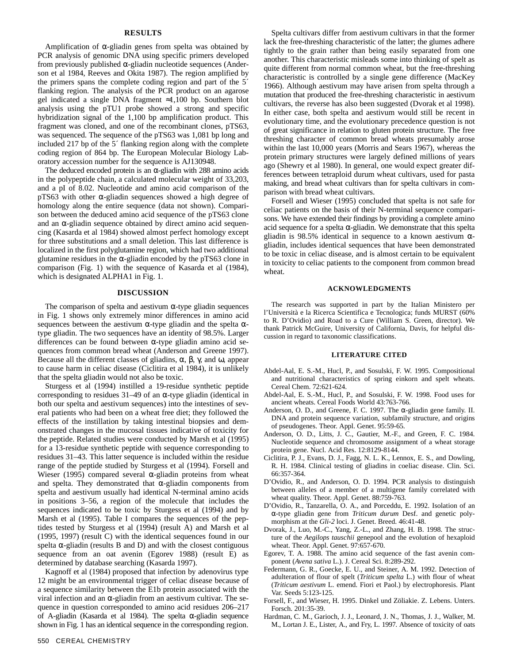# **RESULTS**

Amplification of α-gliadin genes from spelta was obtained by PCR analysis of genomic DNA using specific primers developed from previously published α-gliadin nucleotide sequences (Anderson et al 1984, Reeves and Okita 1987). The region amplified by the primers spans the complete coding region and part of the 5´ flanking region. The analysis of the PCR product on an agarose gel indicated a single DNA fragment ≈1,100 bp. Southern blot analysis using the pTU1 probe showed a strong and specific hybridization signal of the 1,100 bp amplification product. This fragment was cloned, and one of the recombinant clones, pTS63, was sequenced. The sequence of the pTS63 was 1,081 bp long and included 217 bp of the 5´ flanking region along with the complete coding region of 864 bp. The European Molecular Biology Laboratory accession number for the sequence is AJ130948.

The deduced encoded protein is an  $\alpha$ -gliadin with 288 amino acids in the polypeptide chain, a calculated molecular weight of 33,203, and a pI of 8.02. Nucleotide and amino acid comparison of the pTS63 with other α-gliadin sequences showed a high degree of homology along the entire sequence (data not shown). Comparison between the deduced amino acid sequence of the pTS63 clone and an  $\alpha$ -gliadin sequence obtained by direct amino acid sequencing (Kasarda et al 1984) showed almost perfect homology except for three substitutions and a small deletion. This last difference is localized in the first polyglutamine region, which had two additional glutamine residues in the  $\alpha$ -gliadin encoded by the pTS63 clone in comparison (Fig. 1) with the sequence of Kasarda et al (1984), which is designated ALPHA1 in Fig. 1.

## **DISCUSSION**

The comparison of spelta and aestivum  $\alpha$ -type gliadin sequences in Fig. 1 shows only extremely minor differences in amino acid sequences between the aestivum  $\alpha$ -type gliadin and the spelta  $\alpha$ type gliadin. The two sequences have an identity of 98.5%. Larger differences can be found between  $\alpha$ -type gliadin amino acid sequences from common bread wheat (Anderson and Greene 1997). Because all the different classes of gliadins,  $\alpha$ ,  $\beta$ ,  $\gamma$ , and  $\omega$ , appear to cause harm in celiac disease (Ciclitira et al 1984), it is unlikely that the spelta gliadin would not also be toxic.

Sturgess et al (1994) instilled a 19-residue synthetic peptide corresponding to residues  $31-49$  of an  $\alpha$ -type gliadin (identical in both our spelta and aestivum sequences) into the intestines of several patients who had been on a wheat free diet; they followed the effects of the instillation by taking intestinal biopsies and demonstrated changes in the mucosal tissues indicative of toxicity for the peptide. Related studies were conducted by Marsh et al (1995) for a 13-residue synthetic peptide with sequence corresponding to residues 31–43. This latter sequence is included within the residue range of the peptide studied by Sturgess et al (1994). Forsell and Wieser (1995) compared several  $\alpha$ -gliadin proteins from wheat and spelta. They demonstrated that  $\alpha$ -gliadin components from spelta and aestivum usually had identical N-terminal amino acids in positions 3–56, a region of the molecule that includes the sequences indicated to be toxic by Sturgess et al (1994) and by Marsh et al (1995). Table I compares the sequences of the peptides tested by Sturgess et al (1994) (result A) and Marsh et al (1995, 1997) (result C) with the identical sequences found in our spelta  $\alpha$ -gliadin (results B and D) and with the closest contiguous sequence from an oat avenin (Egorev 1988) (result E) as determined by database searching (Kasarda 1997).

Kagnoff et al (1984) proposed that infection by adenovirus type 12 might be an environmental trigger of celiac disease because of a sequence similarity between the E1b protein associated with the viral infection and an α-gliadin from an aestivum cultivar. The sequence in question corresponded to amino acid residues 206–217 of A-gliadin (Kasarda et al 1984). The spelta α-gliadin sequence shown in Fig. 1 has an identical sequence in the corresponding region.

Spelta cultivars differ from aestivum cultivars in that the former lack the free-threshing characteristic of the latter; the glumes adhere tightly to the grain rather than being easily separated from one another. This characteristic misleads some into thinking of spelt as quite different from normal common wheat, but the free-threshing characteristic is controlled by a single gene difference (MacKey 1966). Although aestivum may have arisen from spelta through a mutation that produced the free-threshing characteristic in aestivum cultivars, the reverse has also been suggested (Dvorak et al 1998). In either case, both spelta and aestivum would still be recent in evolutionary time, and the evolutionary precedence question is not of great significance in relation to gluten protein structure. The free threshing character of common bread wheats presumably arose within the last 10,000 years (Morris and Sears 1967), whereas the protein primary structures were largely defined millions of years ago (Shewry et al 1980). In general, one would expect greater differences between tetraploid durum wheat cultivars, used for pasta making, and bread wheat cultivars than for spelta cultivars in comparison with bread wheat cultivars.

Forsell and Wieser (1995) concluded that spelta is not safe for celiac patients on the basis of their N-terminal sequence comparisons. We have extended their findings by providing a complete amino acid sequence for a spelta  $\alpha$ -gliadin. We demonstrate that this spelta gliadin is 98.5% identical in sequence to a known aestivum  $\alpha$ gliadin, includes identical sequences that have been demonstrated to be toxic in celiac disease, and is almost certain to be equivalent in toxicity to celiac patients to the component from common bread wheat.

### **ACKNOWLEDGMENTS**

The research was supported in part by the Italian Ministero per l'Università e la Ricerca Scientifica e Tecnologica; funds MURST (60% to R. D'Ovidio) and Road to a Cure (William S. Green, director). We thank Patrick McGuire, University of California, Davis, for helpful discussion in regard to taxonomic classifications.

### **LITERATURE CITED**

- Abdel-Aal, E. S.-M., Hucl, P., and Sosulski, F. W. 1995. Compositional and nutritional characteristics of spring einkorn and spelt wheats. Cereal Chem. 72:621-624.
- Abdel-Aal, E. S.-M., Hucl, P., and Sosulski, F. W. 1998. Food uses for ancient wheats. Cereal Foods World 43:763-766.
- Anderson, O. D., and Greene, F. C. 1997. The α-gliadin gene family. II. DNA and protein sequence variation, subfamily structure, and origins of pseudogenes. Theor. Appl. Genet. 95:59-65.
- Anderson, O. D., Litts, J. C., Gautier, M.-F., and Green, F. C. 1984. Nucleotide sequence and chromosome assignment of a wheat storage protein gene. Nucl. Acid Res. 12:8129-8144.
- Ciclitira, P. J., Evans, D. J., Fagg, N. L. K., Lennox, E. S., and Dowling, R. H. 1984. Clinical testing of gliadins in coeliac disease. Clin. Sci. 66:357-364.
- D'Ovidio, R., and Anderson, O. D. 1994. PCR analysis to distinguish between alleles of a member of a multigene family correlated with wheat quality. Theor. Appl. Genet. 88:759-763.
- D'Ovidio, R., Tanzarella, O. A., and Porceddu, E. 1992. Isolation of an α-type gliadin gene from *Triticum durum* Desf. and genetic polymorphism at the *Gli-2* loci. J. Genet. Breed. 46:41-48.
- Dvorak, J., Luo, M.-C., Yang, Z.-L., and Zhang, H. B. 1998. The structure of the *Aegilops tauschii* genepool and the evolution of hexaploid wheat. Theor. Appl. Genet. 97:657-670.
- Egorev, T. A. 1988. The amino acid sequence of the fast avenin component (*Avena sativa* L.). J. Cereal Sci. 8:289-292.
- Federmann, G. R., Goecke, E. U., and Steiner, A. M. 1992. Detection of adulteration of flour of spelt (*Triticum spelta* L.) with flour of wheat (*Triticum aestivum* L. emend. Fiori et Paol.) by electrophoresis. Plant Var. Seeds 5:123-125.
- Forsell, F., and Wieser, H. 1995. Dinkel und Zöliakie. Z. Lebens. Unters. Forsch. 201:35-39.
- Hardman, C. M., Garioch, J. J., Leonard, J. N., Thomas, J. J., Walker, M. M., Lortan J. E., Lister, A., and Fry, L. 1997. Absence of toxicity of oats